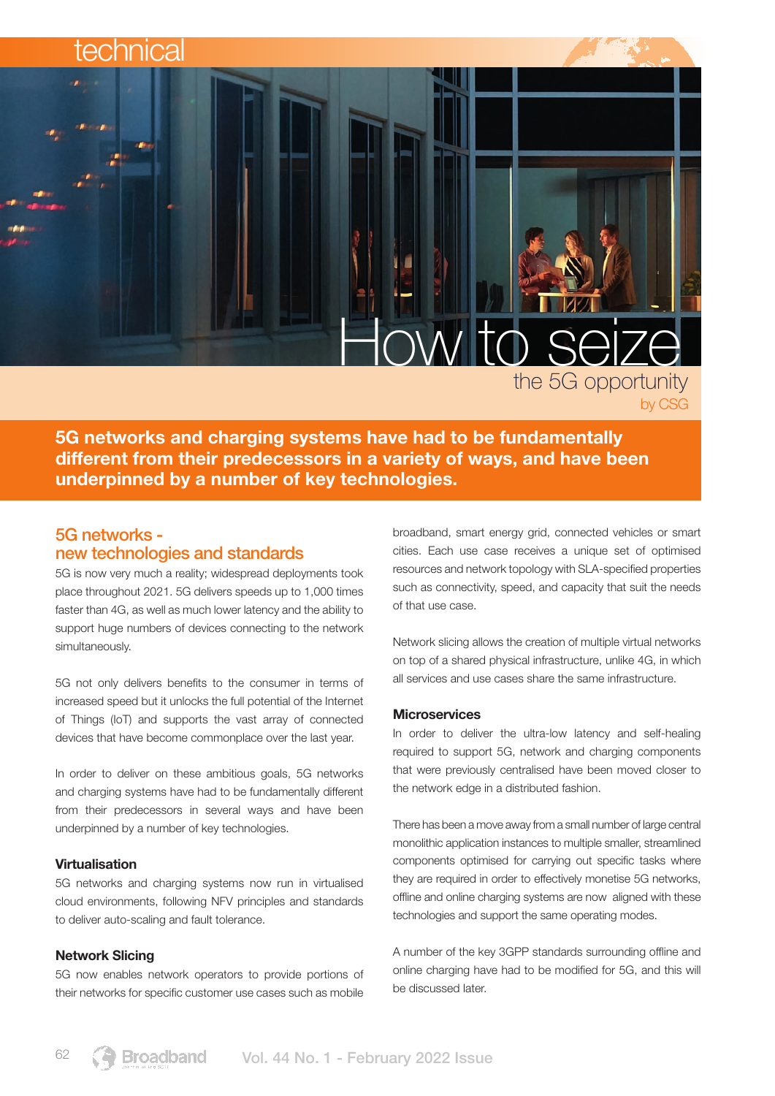# technica

# How to seize the 5G opportunity

5G networks and charging systems have had to be fundamentally different from their predecessors in a variety of ways, and have been underpinned by a number of key technologies.

# 5G networks new technologies and standards

5G is now very much a reality; widespread deployments took place throughout 2021. 5G delivers speeds up to 1,000 times faster than 4G, as well as much lower latency and the ability to support huge numbers of devices connecting to the network simultaneously.

5G not only delivers benefits to the consumer in terms of increased speed but it unlocks the full potential of the Internet of Things (IoT) and supports the vast array of connected devices that have become commonplace over the last year.

In order to deliver on these ambitious goals, 5G networks and charging systems have had to be fundamentally different from their predecessors in several ways and have been underpinned by a number of key technologies.

### Virtualisation

5G networks and charging systems now run in virtualised cloud environments, following NFV principles and standards to deliver auto-scaling and fault tolerance.

#### Network Slicing

5G now enables network operators to provide portions of their networks for specific customer use cases such as mobile

broadband, smart energy grid, connected vehicles or smart cities. Each use case receives a unique set of optimised resources and network topology with SLA-specified properties such as connectivity, speed, and capacity that suit the needs of that use case.

by CSG

Network slicing allows the creation of multiple virtual networks on top of a shared physical infrastructure, unlike 4G, in which all services and use cases share the same infrastructure.

#### **Microservices**

In order to deliver the ultra-low latency and self-healing required to support 5G, network and charging components that were previously centralised have been moved closer to the network edge in a distributed fashion.

There has been a move away from a small number of large central monolithic application instances to multiple smaller, streamlined components optimised for carrying out specific tasks where they are required in order to effectively monetise 5G networks, offline and online charging systems are now aligned with these technologies and support the same operating modes.

A number of the key 3GPP standards surrounding offline and online charging have had to be modified for 5G, and this will be discussed later.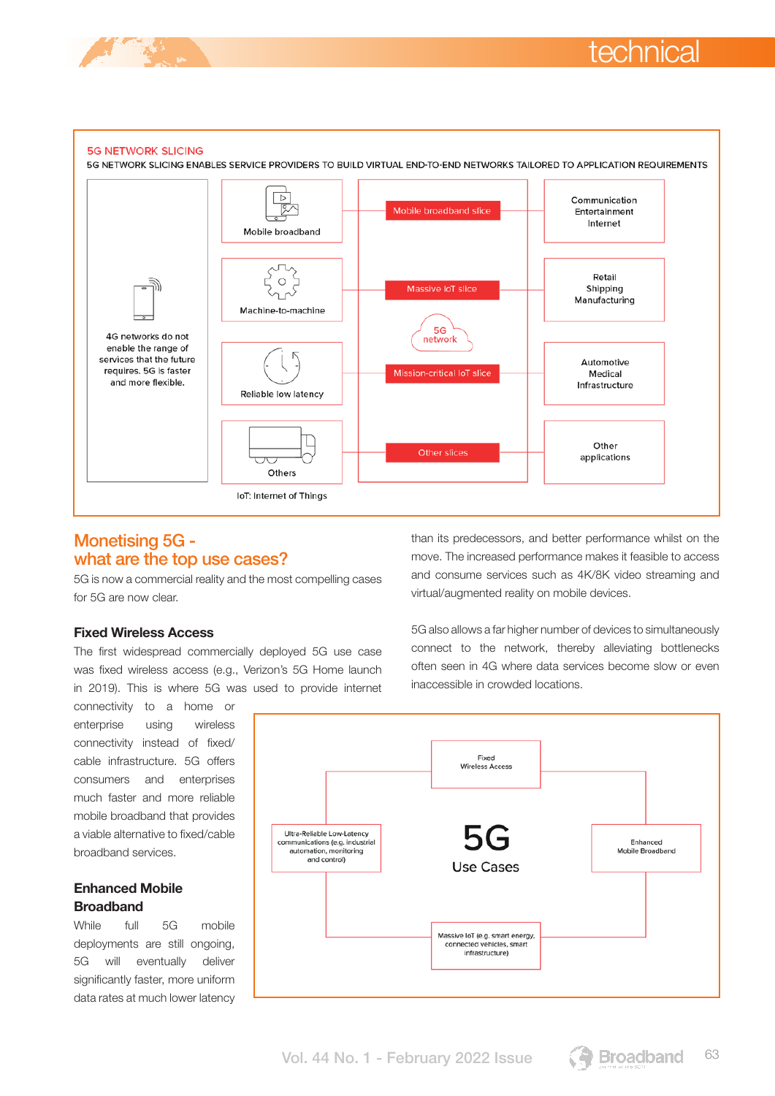



# Monetising 5G what are the top use cases?

5G is now a commercial reality and the most compelling cases for 5G are now clear.

### Fixed Wireless Access

The first widespread commercially deployed 5G use case was fixed wireless access (e.g., Verizon's 5G Home launch in 2019). This is where 5G was used to provide internet

connectivity to a home or enterprise using wireless connectivity instead of fixed/ cable infrastructure. 5G offers consumers and enterprises much faster and more reliable mobile broadband that provides a viable alternative to fixed/cable broadband services.

## Enhanced Mobile **Broadband**

While full 5G mobile deployments are still ongoing, 5G will eventually deliver significantly faster, more uniform data rates at much lower latency than its predecessors, and better performance whilst on the move. The increased performance makes it feasible to access and consume services such as 4K/8K video streaming and virtual/augmented reality on mobile devices.

5G also allows a far higher number of devices to simultaneously connect to the network, thereby alleviating bottlenecks often seen in 4G where data services become slow or even inaccessible in crowded locations.



Vol. 44 No. 1 - February 2022 Issue **63 Broadband** 63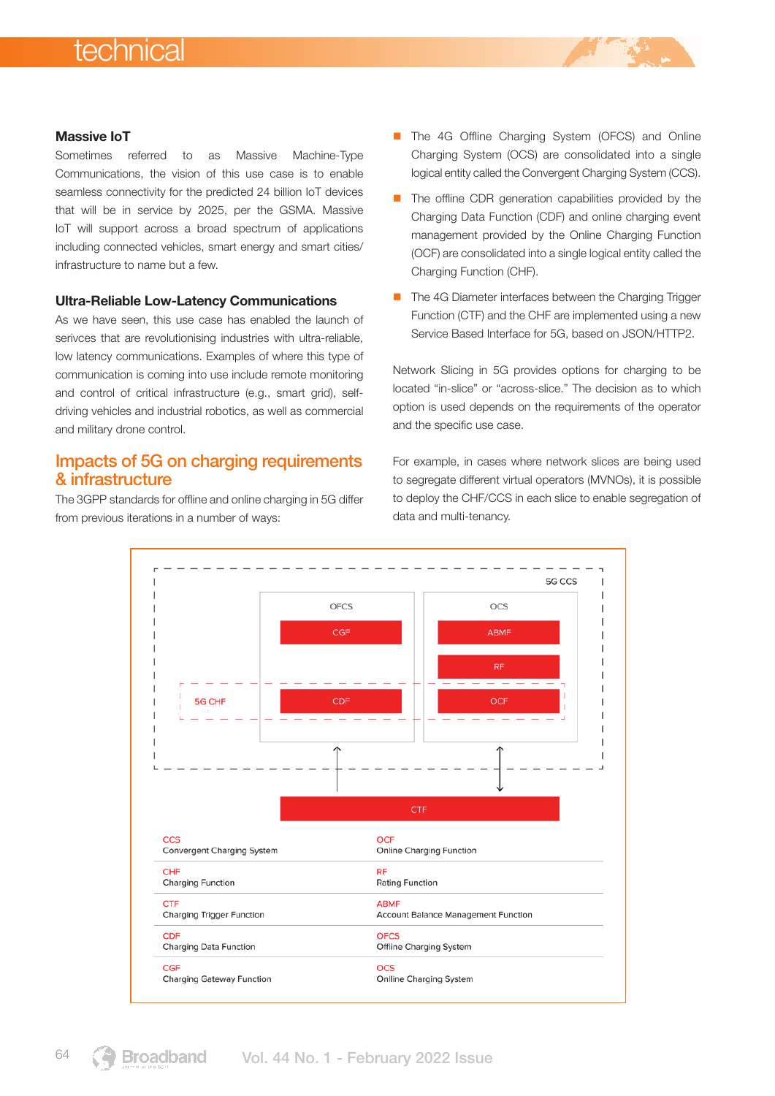# technical

#### Massive IoT

Sometimes referred to as Massive Machine-Type Communications, the vision of this use case is to enable seamless connectivity for the predicted 24 billion IoT devices that will be in service by 2025, per the GSMA. Massive IoT will support across a broad spectrum of applications including connected vehicles, smart energy and smart cities/ infrastructure to name but a few.

#### Ultra-Reliable Low-Latency Communications

As we have seen, this use case has enabled the launch of serivces that are revolutionising industries with ultra-reliable, low latency communications. Examples of where this type of communication is coming into use include remote monitoring and control of critical infrastructure (e.g., smart grid), selfdriving vehicles and industrial robotics, as well as commercial and military drone control.

## Impacts of 5G on charging requirements & infrastructure

The 3GPP standards for offline and online charging in 5G differ from previous iterations in a number of ways:

- The 4G Offline Charging System (OFCS) and Online Charging System (OCS) are consolidated into a single logical entity called the Convergent Charging System (CCS).
- $\blacksquare$  The offline CDR generation capabilities provided by the Charging Data Function (CDF) and online charging event management provided by the Online Charging Function (OCF) are consolidated into a single logical entity called the Charging Function (CHF).
- The 4G Diameter interfaces between the Charging Trigger Function (CTF) and the CHF are implemented using a new Service Based Interface for 5G, based on JSON/HTTP2.

Network Slicing in 5G provides options for charging to be located "in-slice" or "across-slice." The decision as to which option is used depends on the requirements of the operator and the specific use case.

For example, in cases where network slices are being used to segregate different virtual operators (MVNOs), it is possible to deploy the CHF/CCS in each slice to enable segregation of data and multi-tenancy.